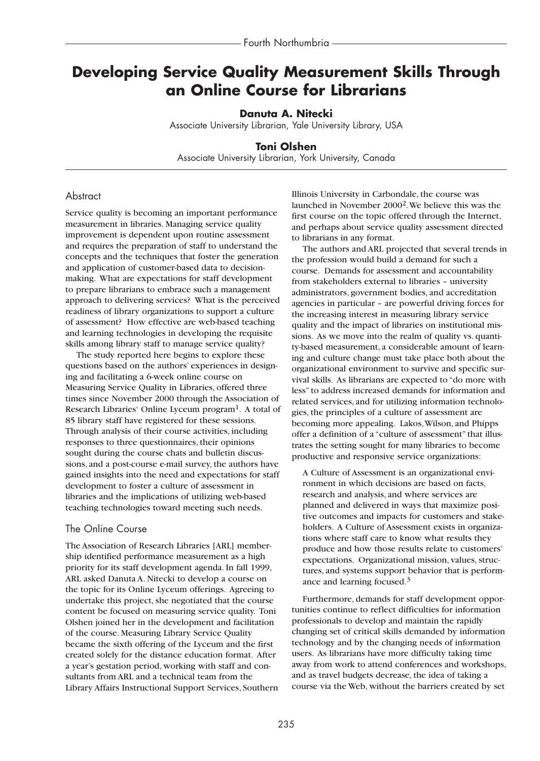# **Developing Service Quality Measurement Skills Through an Online Course for Librarians**

**Danuta A. Nitecki**

Associate University Librarian, Yale University Library, USA

### **Toni Olshen**

Associate University Librarian, York University, Canada

# **Abstract**

Service quality is becoming an important performance measurement in libraries. Managing service quality improvement is dependent upon routine assessment and requires the preparation of staff to understand the concepts and the techniques that foster the generation and application of customer-based data to decisionmaking. What are expectations for staff development to prepare librarians to embrace such a management approach to delivering services? What is the perceived readiness of library organizations to support a culture of assessment? How effective are web-based teaching and learning technologies in developing the requisite skills among library staff to manage service quality?

The study reported here begins to explore these questions based on the authors' experiences in designing and facilitating a 6-week online course on Measuring Service Quality in Libraries, offered three times since November 2000 through the Association of Research Libraries' Online Lyceum program<sup>1</sup>. A total of 85 library staff have registered for these sessions. Through analysis of their course activities, including responses to three questionnaires, their opinions sought during the course chats and bulletin discussions, and a post-course e-mail survey, the authors have gained insights into the need and expectations for staff development to foster a culture of assessment in libraries and the implications of utilizing web-based teaching technologies toward meeting such needs.

### The Online Course

The Association of Research Libraries [ARL] membership identified performance measurement as a high priority for its staff development agenda. In fall 1999, ARL asked Danuta A. Nitecki to develop a course on the topic for its Online Lyceum offerings. Agreeing to undertake this project, she negotiated that the course content be focused on measuring service quality. Toni Olshen joined her in the development and facilitation of the course. Measuring Library Service Quality became the sixth offering of the Lyceum and the first created solely for the distance education format. After a year's gestation period, working with staff and consultants from ARL and a technical team from the Library Affairs Instructional Support Services, Southern Illinois University in Carbondale, the course was launched in November 20002.We believe this was the first course on the topic offered through the Internet, and perhaps about service quality assessment directed to librarians in any format.

The authors and ARL projected that several trends in the profession would build a demand for such a course. Demands for assessment and accountability from stakeholders external to libraries – university administrators, government bodies, and accreditation agencies in particular – are powerful driving forces for the increasing interest in measuring library service quality and the impact of libraries on institutional missions. As we move into the realm of quality vs. quantity-based measurement, a considerable amount of learning and culture change must take place both about the organizational environment to survive and specific survival skills. As librarians are expected to "do more with less" to address increased demands for information and related services, and for utilizing information technologies, the principles of a culture of assessment are becoming more appealing. Lakos,Wilson, and Phipps offer a definition of a "culture of assessment" that illustrates the setting sought for many libraries to become productive and responsive service organizations:

A Culture of Assessment is an organizational environment in which decisions are based on facts, research and analysis, and where services are planned and delivered in ways that maximize positive outcomes and impacts for customers and stakeholders. A Culture of Assessment exists in organizations where staff care to know what results they produce and how those results relate to customers' expectations. Organizational mission, values, structures, and systems support behavior that is performance and learning focused.3

Furthermore, demands for staff development opportunities continue to reflect difficulties for information professionals to develop and maintain the rapidly changing set of critical skills demanded by information technology and by the changing needs of information users. As librarians have more difficulty taking time away from work to attend conferences and workshops, and as travel budgets decrease, the idea of taking a course via the Web, without the barriers created by set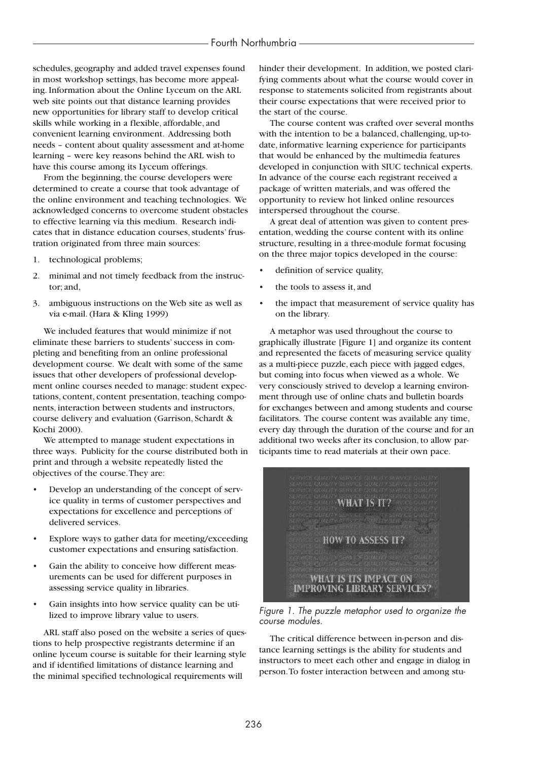schedules, geography and added travel expenses found in most workshop settings, has become more appealing. Information about the Online Lyceum on the ARL web site points out that distance learning provides new opportunities for library staff to develop critical skills while working in a flexible, affordable, and convenient learning environment. Addressing both needs – content about quality assessment and at-home learning – were key reasons behind the ARL wish to have this course among its Lyceum offerings.

From the beginning, the course developers were determined to create a course that took advantage of the online environment and teaching technologies. We acknowledged concerns to overcome student obstacles to effective learning via this medium. Research indicates that in distance education courses, students' frustration originated from three main sources:

- 1. technological problems;
- 2. minimal and not timely feedback from the instructor; and,
- 3. ambiguous instructions on the Web site as well as via e-mail. (Hara & Kling 1999)

We included features that would minimize if not eliminate these barriers to students' success in completing and benefiting from an online professional development course. We dealt with some of the same issues that other developers of professional development online courses needed to manage: student expectations, content, content presentation, teaching components, interaction between students and instructors, course delivery and evaluation (Garrison, Schardt & Kochi 2000).

We attempted to manage student expectations in three ways. Publicity for the course distributed both in print and through a website repeatedly listed the objectives of the course.They are:

- Develop an understanding of the concept of service quality in terms of customer perspectives and expectations for excellence and perceptions of delivered services.
- Explore ways to gather data for meeting/exceeding customer expectations and ensuring satisfaction.
- Gain the ability to conceive how different measurements can be used for different purposes in assessing service quality in libraries.
- Gain insights into how service quality can be utilized to improve library value to users.

ARL staff also posed on the website a series of questions to help prospective registrants determine if an online lyceum course is suitable for their learning style and if identified limitations of distance learning and the minimal specified technological requirements will

hinder their development. In addition, we posted clarifying comments about what the course would cover in response to statements solicited from registrants about their course expectations that were received prior to the start of the course.

The course content was crafted over several months with the intention to be a balanced, challenging, up-todate, informative learning experience for participants that would be enhanced by the multimedia features developed in conjunction with SIUC technical experts. In advance of the course each registrant received a package of written materials, and was offered the opportunity to review hot linked online resources interspersed throughout the course.

A great deal of attention was given to content presentation, wedding the course content with its online structure, resulting in a three-module format focusing on the three major topics developed in the course:

- definition of service quality,
- the tools to assess it, and
- the impact that measurement of service quality has on the library.

A metaphor was used throughout the course to graphically illustrate [Figure 1] and organize its content and represented the facets of measuring service quality as a multi-piece puzzle, each piece with jagged edges, but coming into focus when viewed as a whole. We very consciously strived to develop a learning environment through use of online chats and bulletin boards for exchanges between and among students and course facilitators. The course content was available any time, every day through the duration of the course and for an additional two weeks after its conclusion, to allow participants time to read materials at their own pace.



*Figure 1. The puzzle metaphor used to organize the course modules.*

The critical difference between in-person and distance learning settings is the ability for students and instructors to meet each other and engage in dialog in person.To foster interaction between and among stu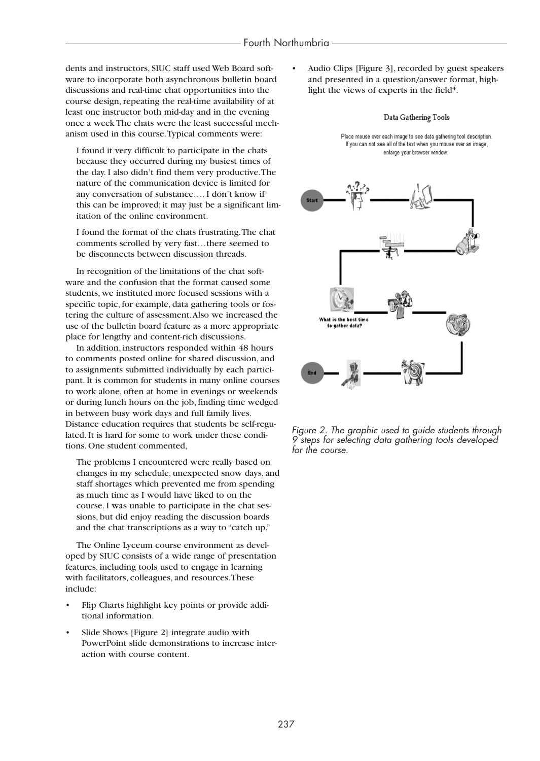dents and instructors, SIUC staff used Web Board software to incorporate both asynchronous bulletin board discussions and real-time chat opportunities into the course design, repeating the real-time availability of at least one instructor both mid-day and in the evening once a week The chats were the least successful mechanism used in this course.Typical comments were:

I found it very difficult to participate in the chats because they occurred during my busiest times of the day. I also didn't find them very productive.The nature of the communication device is limited for any conversation of substance…. I don't know if this can be improved; it may just be a significant limitation of the online environment.

I found the format of the chats frustrating.The chat comments scrolled by very fast…there seemed to be disconnects between discussion threads.

In recognition of the limitations of the chat software and the confusion that the format caused some students, we instituted more focused sessions with a specific topic, for example, data gathering tools or fostering the culture of assessment.Also we increased the use of the bulletin board feature as a more appropriate place for lengthy and content-rich discussions.

In addition, instructors responded within 48 hours to comments posted online for shared discussion, and to assignments submitted individually by each participant. It is common for students in many online courses to work alone, often at home in evenings or weekends or during lunch hours on the job, finding time wedged in between busy work days and full family lives. Distance education requires that students be self-regulated. It is hard for some to work under these conditions. One student commented,

The problems I encountered were really based on changes in my schedule, unexpected snow days, and staff shortages which prevented me from spending as much time as I would have liked to on the course. I was unable to participate in the chat sessions, but did enjoy reading the discussion boards and the chat transcriptions as a way to "catch up."

The Online Lyceum course environment as developed by SIUC consists of a wide range of presentation features, including tools used to engage in learning with facilitators, colleagues, and resources.These include:

- Flip Charts highlight key points or provide additional information.
- Slide Shows [Figure 2] integrate audio with PowerPoint slide demonstrations to increase interaction with course content.

• Audio Clips [Figure 3], recorded by guest speakers and presented in a question/answer format, highlight the views of experts in the field $4$ .

### Data Gathering Tools

Place mouse over each image to see data gathering tool description. If you can not see all of the text when you mouse over an image, enlarge your browser window.



*Figure 2. The graphic used to guide students through 9 steps for selecting data gathering tools developed for the course.*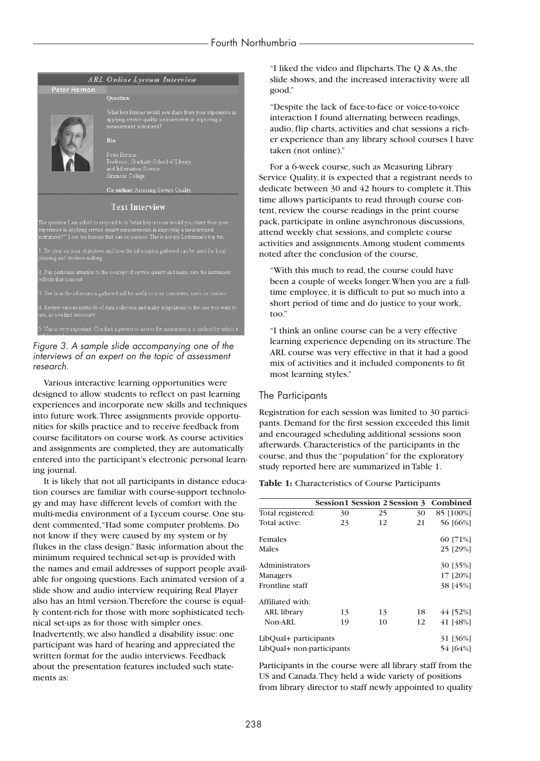

*Figure 3. A sample slide accompanying one of the interviews of an expert on the topic of assessment research.* 

Various interactive learning opportunities were designed to allow students to reflect on past learning experiences and incorporate new skills and techniques into future work.Three assignments provide opportunities for skills practice and to receive feedback from course facilitators on course work.As course activities and assignments are completed, they are automatically entered into the participant's electronic personal learning journal.

It is likely that not all participants in distance education courses are familiar with course-support technology and may have different levels of comfort with the multi-media environment of a Lyceum course. One student commented,"Had some computer problems. Do not know if they were caused by my system or by flukes in the class design." Basic information about the minimum required technical set-up is provided with the names and email addresses of support people available for ongoing questions. Each animated version of a slide show and audio interview requiring Real Player also has an html version.Therefore the course is equally content-rich for those with more sophisticated technical set-ups as for those with simpler ones. Inadvertently, we also handled a disability issue: one participant was hard of hearing and appreciated the written format for the audio interviews. Feedback about the presentation features included such statements as:

"I liked the video and flipcharts.The Q & As, the slide shows, and the increased interactivity were all good."

"Despite the lack of face-to-face or voice-to-voice interaction I found alternating between readings, audio, flip charts, activities and chat sessions a richer experience than any library school courses I have taken (not online)."

For a 6-week course, such as Measuring Library Service Quality, it is expected that a registrant needs to dedicate between 30 and 42 hours to complete it.This time allows participants to read through course content, review the course readings in the print course pack, participate in online asynchronous discussions, attend weekly chat sessions, and complete course activities and assignments.Among student comments noted after the conclusion of the course,

"With this much to read, the course could have been a couple of weeks longer.When you are a fulltime employee, it is difficult to put so much into a short period of time and do justice to your work, too."

"I think an online course can be a very effective learning experience depending on its structure.The ARL course was very effective in that it had a good mix of activities and it included components to fit most learning styles."

# The Participants

Registration for each session was limited to 30 participants. Demand for the first session exceeded this limit and encouraged scheduling additional sessions soon afterwards. Characteristics of the participants in the course, and thus the "population" for the exploratory study reported here are summarized in Table 1.

### **Table 1:** Characteristics of Course Participants

|                           |    |    |    | Session1 Session 2 Session 3 Combined |
|---------------------------|----|----|----|---------------------------------------|
| Total registered:         | 30 | 25 | 30 | 85 [100%]                             |
| Total active:             | 23 | 12 | 21 | 56 [66%]                              |
| Females                   |    |    |    | 60 [71%]                              |
| Males                     |    |    |    | 25 [29%]                              |
| Administrators            |    |    |    | 30 [35%]                              |
| Managers                  |    |    |    | 17 [20%]                              |
| Frontline staff           |    |    |    | 38 [45%]                              |
| Affiliated with:          |    |    |    |                                       |
| <b>ARL</b> library        | 13 | 13 | 18 | 44 [52%]                              |
| Non-ARL                   | 19 | 10 | 12 | 41 [48%]                              |
| LibQual+ participants     |    |    |    | 31 [36%]                              |
| LibQual+ non-participants |    |    |    | 54 [64%]                              |

Participants in the course were all library staff from the US and Canada.They held a wide variety of positions from library director to staff newly appointed to quality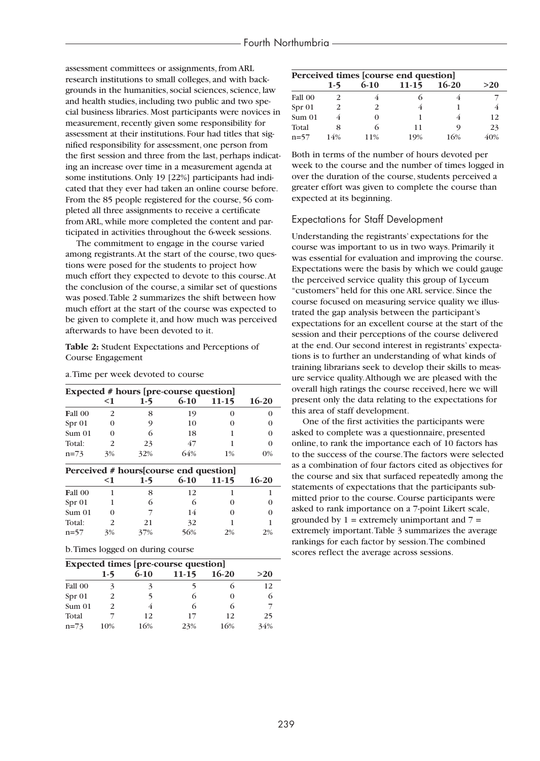assessment committees or assignments, from ARL research institutions to small colleges, and with backgrounds in the humanities, social sciences, science, law and health studies, including two public and two special business libraries. Most participants were novices in measurement, recently given some responsibility for assessment at their institutions. Four had titles that signified responsibility for assessment, one person from the first session and three from the last, perhaps indicating an increase over time in a measurement agenda at some institutions. Only 19 [22%] participants had indicated that they ever had taken an online course before. From the 85 people registered for the course, 56 completed all three assignments to receive a certificate from ARL, while more completed the content and participated in activities throughout the 6-week sessions.

The commitment to engage in the course varied among registrants.At the start of the course, two questions were posed for the students to project how much effort they expected to devote to this course.At the conclusion of the course, a similar set of questions was posed.Table 2 summarizes the shift between how much effort at the start of the course was expected to be given to complete it, and how much was perceived afterwards to have been devoted to it.

### **Table 2:** Student Expectations and Perceptions of Course Engagement

#### a.Time per week devoted to course

| Expected # hours [pre-course question] |       |                                        |          |           |         |
|----------------------------------------|-------|----------------------------------------|----------|-----------|---------|
|                                        | $<$ 1 | $1-5$                                  | $6 - 10$ | $11 - 15$ | $16-20$ |
| Fall 00                                | 2     | 8                                      | 19       | $\Omega$  |         |
| Spr 01                                 | 0     | 9                                      | 10       | 0         |         |
| Sum <sub>01</sub>                      | 0     | 6                                      | 18       |           | 0       |
| Total:                                 | 2     | 23                                     | 47       |           | 0       |
| $n=73$                                 | 3%    | 32%                                    | 64%      | $1\%$     | $0\%$   |
|                                        |       | Dependent # hourseleaupen and guestion |          |           |         |

| Perceived # hours [course end question] |       |       |          |         |              |  |
|-----------------------------------------|-------|-------|----------|---------|--------------|--|
|                                         | $<$ 1 | $1-5$ | $6 - 10$ | $11-15$ | $16-20$      |  |
| Fall 00                                 |       | 8     | 12       |         |              |  |
| Spr 01                                  |       | 6     |          |         | $\theta$     |  |
| Sum 01                                  |       |       | 14       |         | $\mathbf{0}$ |  |
| Total:                                  |       | 21    | 32       |         |              |  |
| $n=57$                                  | 3%    | 37%   | 56%      | 2%      | 2%           |  |

b.Times logged on during course

| Expected times [pre-course question] |       |          |         |         |     |
|--------------------------------------|-------|----------|---------|---------|-----|
|                                      | $1-5$ | $6 - 10$ | $11-15$ | $16-20$ | >20 |
| Fall 00                              |       | 3        |         |         | 12  |
| Spr 01                               |       | 5        |         |         | 6   |
| Sum 01                               |       |          |         |         |     |
| Total                                |       | 12       | 17      | 12      | 25  |
| $n=73$                               | 10%   | 16%      | 23%     | 16%     | 34% |

| Perceived times [course end question] |       |          |         |         |     |
|---------------------------------------|-------|----------|---------|---------|-----|
|                                       | $1-5$ | $6 - 10$ | $11-15$ | $16-20$ | >20 |
| Fall 00                               |       |          |         |         |     |
| Spr 01                                |       | 2        |         |         |     |
| Sum 01                                |       |          |         |         | 12  |
| Total                                 | 8     |          | 11      | Q       | 23  |
| $n = 57$                              | 14%   | 11%      | 19%     | 16%     | 40% |

Both in terms of the number of hours devoted per week to the course and the number of times logged in over the duration of the course, students perceived a greater effort was given to complete the course than expected at its beginning.

### Expectations for Staff Development

Understanding the registrants' expectations for the course was important to us in two ways. Primarily it was essential for evaluation and improving the course. Expectations were the basis by which we could gauge the perceived service quality this group of Lyceum "customers" held for this one ARL service. Since the course focused on measuring service quality we illustrated the gap analysis between the participant's expectations for an excellent course at the start of the session and their perceptions of the course delivered at the end. Our second interest in registrants' expectations is to further an understanding of what kinds of training librarians seek to develop their skills to measure service quality.Although we are pleased with the overall high ratings the course received, here we will present only the data relating to the expectations for this area of staff development.

One of the first activities the participants were asked to complete was a questionnaire, presented online, to rank the importance each of 10 factors has to the success of the course.The factors were selected as a combination of four factors cited as objectives for the course and six that surfaced repeatedly among the statements of expectations that the participants submitted prior to the course. Course participants were asked to rank importance on a 7-point Likert scale, grounded by  $1 =$  extremely unimportant and  $7 =$ extremely important.Table 3 summarizes the average rankings for each factor by session.The combined scores reflect the average across sessions.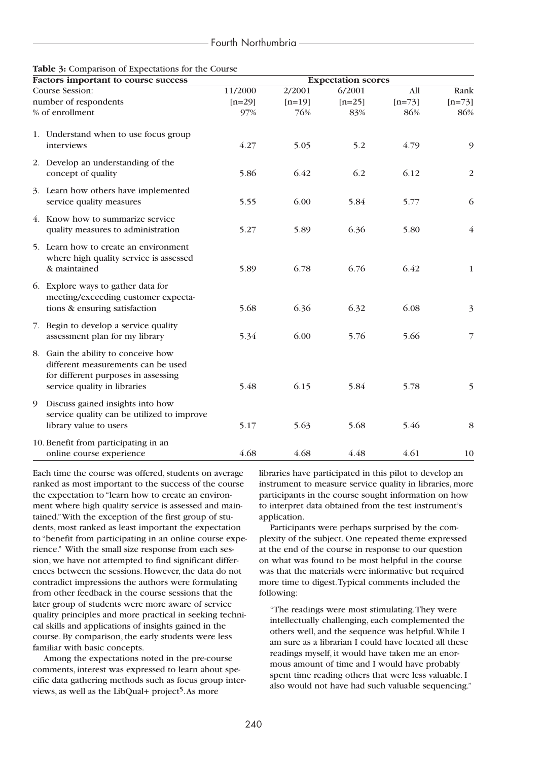| <b>TWORE</b> $\mathcal{Y}$ comparison of Expectations for the course<br>Factors important to course success                                      | <b>Expectation scores</b> |          |          |          |                |  |
|--------------------------------------------------------------------------------------------------------------------------------------------------|---------------------------|----------|----------|----------|----------------|--|
| Course Session:                                                                                                                                  | 11/2000                   | 2/2001   | 6/2001   | All      | Rank           |  |
| number of respondents                                                                                                                            | $[n=29]$                  | $[n=19]$ | $[n=25]$ | $[n=73]$ | $[n=73]$       |  |
| % of enrollment                                                                                                                                  | 97%                       | 76%      | 83%      | 86%      | 86%            |  |
| 1. Understand when to use focus group<br>interviews                                                                                              | 4.27                      | 5.05     | 5.2      | 4.79     | 9              |  |
| 2. Develop an understanding of the<br>concept of quality                                                                                         | 5.86                      | 6.42     | 6.2      | 6.12     | $\overline{2}$ |  |
| 3. Learn how others have implemented<br>service quality measures                                                                                 | 5.55                      | 6.00     | 5.84     | 5.77     | 6              |  |
| 4. Know how to summarize service<br>quality measures to administration                                                                           | 5.27                      | 5.89     | 6.36     | 5.80     | $\overline{4}$ |  |
| 5. Learn how to create an environment<br>where high quality service is assessed<br>& maintained                                                  | 5.89                      | 6.78     | 6.76     | 6.42     | $\mathbf{1}$   |  |
| 6. Explore ways to gather data for<br>meeting/exceeding customer expecta-<br>tions & ensuring satisfaction                                       | 5.68                      | 6.36     | 6.32     | 6.08     | $\mathfrak{Z}$ |  |
| 7. Begin to develop a service quality<br>assessment plan for my library                                                                          | 5.34                      | 6.00     | 5.76     | 5.66     | $\overline{7}$ |  |
| 8. Gain the ability to conceive how<br>different measurements can be used<br>for different purposes in assessing<br>service quality in libraries | 5.48                      | 6.15     | 5.84     | 5.78     | 5              |  |
| Discuss gained insights into how<br>9<br>service quality can be utilized to improve<br>library value to users                                    | 5.17                      | 5.63     | 5.68     | 5.46     | 8              |  |
| 10. Benefit from participating in an<br>online course experience                                                                                 | 4.68                      | 4.68     | 4.48     | 4.61     | 10             |  |

## **Table 3:** Comparison of Expectations for the Course

Each time the course was offered, students on average ranked as most important to the success of the course the expectation to "learn how to create an environment where high quality service is assessed and maintained."With the exception of the first group of students, most ranked as least important the expectation to "benefit from participating in an online course experience." With the small size response from each session, we have not attempted to find significant differences between the sessions. However, the data do not contradict impressions the authors were formulating from other feedback in the course sessions that the later group of students were more aware of service quality principles and more practical in seeking technical skills and applications of insights gained in the course. By comparison, the early students were less familiar with basic concepts.

Among the expectations noted in the pre-course comments, interest was expressed to learn about specific data gathering methods such as focus group interviews, as well as the LibQual+ project<sup>5</sup>. As more

libraries have participated in this pilot to develop an instrument to measure service quality in libraries, more participants in the course sought information on how to interpret data obtained from the test instrument's application.

Participants were perhaps surprised by the complexity of the subject. One repeated theme expressed at the end of the course in response to our question on what was found to be most helpful in the course was that the materials were informative but required more time to digest.Typical comments included the following:

"The readings were most stimulating.They were intellectually challenging, each complemented the others well, and the sequence was helpful.While I am sure as a librarian I could have located all these readings myself, it would have taken me an enormous amount of time and I would have probably spent time reading others that were less valuable. I also would not have had such valuable sequencing."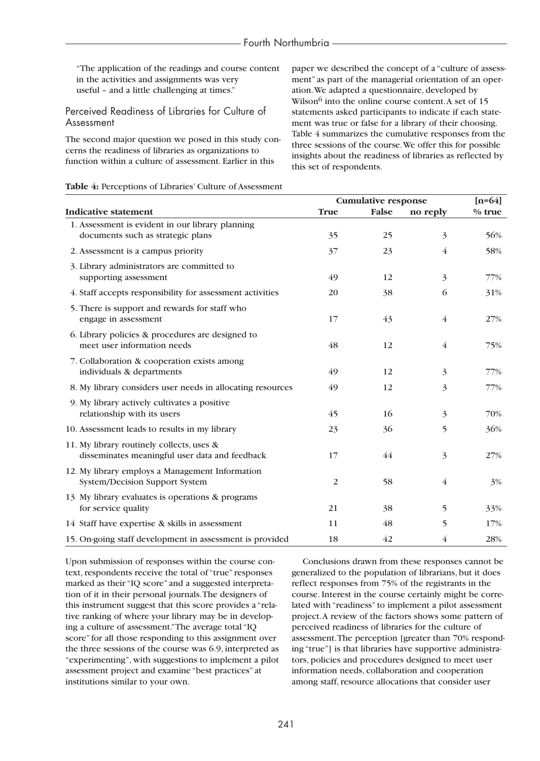"The application of the readings and course content in the activities and assignments was very useful – and a little challenging at times."

Perceived Readiness of Libraries for Culture of Assessment

The second major question we posed in this study concerns the readiness of libraries as organizations to function within a culture of assessment. Earlier in this

paper we described the concept of a "culture of assessment" as part of the managerial orientation of an operation.We adapted a questionnaire, developed by Wilson<sup>6</sup> into the online course content. A set of 15 statements asked participants to indicate if each statement was true or false for a library of their choosing. Table 4 summarizes the cumulative responses from the three sessions of the course.We offer this for possible insights about the readiness of libraries as reflected by this set of respondents.

| Table 4: Perceptions of Libraries' Culture of Assessment |  |
|----------------------------------------------------------|--|
|----------------------------------------------------------|--|

|                                                                                             | <b>Cumulative response</b> | $[n=64]$ |                |          |
|---------------------------------------------------------------------------------------------|----------------------------|----------|----------------|----------|
| <b>Indicative statement</b>                                                                 | <b>True</b>                | False    | no reply       | $%$ true |
| 1. Assessment is evident in our library planning<br>documents such as strategic plans       | 35                         | 25       | 3              | 56%      |
| 2. Assessment is a campus priority                                                          | 37                         | 23       | $\overline{4}$ | 58%      |
| 3. Library administrators are committed to<br>supporting assessment                         | 49                         | 12       | 3              | 77%      |
| 4. Staff accepts responsibility for assessment activities                                   | 20                         | 38       | 6              | 31%      |
| 5. There is support and rewards for staff who<br>engage in assessment                       | 17                         | 43       | $\overline{4}$ | 27%      |
| 6. Library policies & procedures are designed to<br>meet user information needs             | 48                         | 12       | $\overline{4}$ | 75%      |
| 7. Collaboration & cooperation exists among<br>individuals & departments                    | 49                         | 12       | 3              | 77%      |
| 8. My library considers user needs in allocating resources                                  | 49                         | 12       | 3              | 77%      |
| 9. My library actively cultivates a positive<br>relationship with its users                 | 45                         | 16       | 3              | 70%      |
| 10. Assessment leads to results in my library                                               | 23                         | 36       | 5              | 36%      |
| 11. My library routinely collects, uses &<br>disseminates meaningful user data and feedback | 17                         | 44       | 3              | 27%      |
| 12. My library employs a Management Information<br>System/Decision Support System           | 2                          | 58       | $\overline{4}$ | 3%       |
| 13 My library evaluates is operations & programs<br>for service quality                     | 21                         | 38       | 5              | 33%      |
| 14 Staff have expertise & skills in assessment                                              | 11                         | 48       | 5              | 17%      |
| 15. On-going staff development in assessment is provided                                    | 18                         | 42       | 4              | 28%      |

Upon submission of responses within the course context, respondents receive the total of "true" responses marked as their "IQ score" and a suggested interpretation of it in their personal journals.The designers of this instrument suggest that this score provides a "relative ranking of where your library may be in developing a culture of assessment."The average total "IQ score" for all those responding to this assignment over the three sessions of the course was 6.9, interpreted as "experimenting", with suggestions to implement a pilot assessment project and examine "best practices" at institutions similar to your own.

Conclusions drawn from these responses cannot be generalized to the population of librarians, but it does reflect responses from 75% of the registrants in the course. Interest in the course certainly might be correlated with "readiness" to implement a pilot assessment project.A review of the factors shows some pattern of perceived readiness of libraries for the culture of assessment.The perception [greater than 70% responding "true"] is that libraries have supportive administrators, policies and procedures designed to meet user information needs, collaboration and cooperation among staff, resource allocations that consider user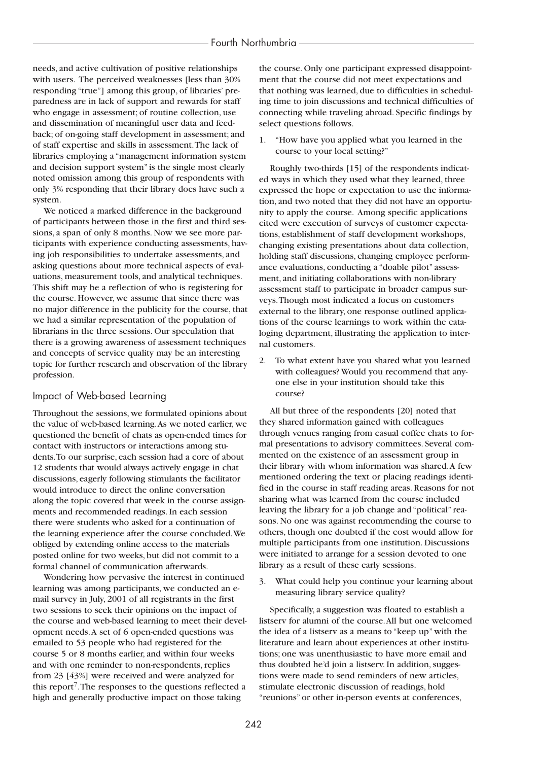needs, and active cultivation of positive relationships with users. The perceived weaknesses [less than 30% responding "true"] among this group, of libraries' preparedness are in lack of support and rewards for staff who engage in assessment; of routine collection, use and dissemination of meaningful user data and feedback; of on-going staff development in assessment; and of staff expertise and skills in assessment.The lack of libraries employing a "management information system and decision support system" is the single most clearly noted omission among this group of respondents with only 3% responding that their library does have such a system.

We noticed a marked difference in the background of participants between those in the first and third sessions, a span of only 8 months. Now we see more participants with experience conducting assessments, having job responsibilities to undertake assessments, and asking questions about more technical aspects of evaluations, measurement tools, and analytical techniques. This shift may be a reflection of who is registering for the course. However, we assume that since there was no major difference in the publicity for the course, that we had a similar representation of the population of librarians in the three sessions. Our speculation that there is a growing awareness of assessment techniques and concepts of service quality may be an interesting topic for further research and observation of the library profession.

## Impact of Web-based Learning

Throughout the sessions, we formulated opinions about the value of web-based learning.As we noted earlier, we questioned the benefit of chats as open-ended times for contact with instructors or interactions among students.To our surprise, each session had a core of about 12 students that would always actively engage in chat discussions, eagerly following stimulants the facilitator would introduce to direct the online conversation along the topic covered that week in the course assignments and recommended readings. In each session there were students who asked for a continuation of the learning experience after the course concluded.We obliged by extending online access to the materials posted online for two weeks, but did not commit to a formal channel of communication afterwards.

Wondering how pervasive the interest in continued learning was among participants, we conducted an email survey in July, 2001 of all registrants in the first two sessions to seek their opinions on the impact of the course and web-based learning to meet their development needs.A set of 6 open-ended questions was emailed to 53 people who had registered for the course 5 or 8 months earlier, and within four weeks and with one reminder to non-respondents, replies from 23 [43%] were received and were analyzed for this report7.The responses to the questions reflected a high and generally productive impact on those taking

the course. Only one participant expressed disappointment that the course did not meet expectations and that nothing was learned, due to difficulties in scheduling time to join discussions and technical difficulties of connecting while traveling abroad. Specific findings by select questions follows.

1. "How have you applied what you learned in the course to your local setting?"

Roughly two-thirds [15] of the respondents indicated ways in which they used what they learned, three expressed the hope or expectation to use the information, and two noted that they did not have an opportunity to apply the course. Among specific applications cited were execution of surveys of customer expectations, establishment of staff development workshops, changing existing presentations about data collection, holding staff discussions, changing employee performance evaluations, conducting a "doable pilot" assessment, and initiating collaborations with non-library assessment staff to participate in broader campus surveys.Though most indicated a focus on customers external to the library, one response outlined applications of the course learnings to work within the cataloging department, illustrating the application to internal customers.

2. To what extent have you shared what you learned with colleagues? Would you recommend that anyone else in your institution should take this course?

All but three of the respondents [20] noted that they shared information gained with colleagues through venues ranging from casual coffee chats to formal presentations to advisory committees. Several commented on the existence of an assessment group in their library with whom information was shared.A few mentioned ordering the text or placing readings identified in the course in staff reading areas. Reasons for not sharing what was learned from the course included leaving the library for a job change and "political" reasons. No one was against recommending the course to others, though one doubted if the cost would allow for multiple participants from one institution. Discussions were initiated to arrange for a session devoted to one library as a result of these early sessions.

3. What could help you continue your learning about measuring library service quality?

Specifically, a suggestion was floated to establish a listserv for alumni of the course.All but one welcomed the idea of a listserv as a means to "keep up" with the literature and learn about experiences at other institutions; one was unenthusiastic to have more email and thus doubted he'd join a listserv. In addition, suggestions were made to send reminders of new articles, stimulate electronic discussion of readings, hold "reunions" or other in-person events at conferences,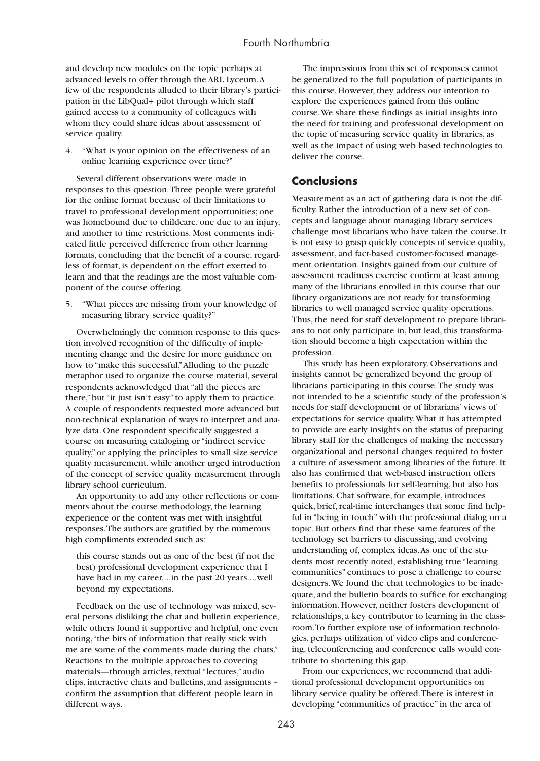and develop new modules on the topic perhaps at advanced levels to offer through the ARL Lyceum.A few of the respondents alluded to their library's participation in the LibQual+ pilot through which staff gained access to a community of colleagues with whom they could share ideas about assessment of service quality.

4. "What is your opinion on the effectiveness of an online learning experience over time?"

Several different observations were made in responses to this question.Three people were grateful for the online format because of their limitations to travel to professional development opportunities; one was homebound due to childcare, one due to an injury, and another to time restrictions. Most comments indicated little perceived difference from other learning formats, concluding that the benefit of a course, regardless of format, is dependent on the effort exerted to learn and that the readings are the most valuable component of the course offering.

5. "What pieces are missing from your knowledge of measuring library service quality?"

Overwhelmingly the common response to this question involved recognition of the difficulty of implementing change and the desire for more guidance on how to "make this successful."Alluding to the puzzle metaphor used to organize the course material, several respondents acknowledged that "all the pieces are there," but "it just isn't easy" to apply them to practice. A couple of respondents requested more advanced but non-technical explanation of ways to interpret and analyze data. One respondent specifically suggested a course on measuring cataloging or "indirect service quality," or applying the principles to small size service quality measurement, while another urged introduction of the concept of service quality measurement through library school curriculum.

An opportunity to add any other reflections or comments about the course methodology, the learning experience or the content was met with insightful responses.The authors are gratified by the numerous high compliments extended such as:

this course stands out as one of the best (if not the best) professional development experience that I have had in my career....in the past 20 years....well beyond my expectations.

Feedback on the use of technology was mixed, several persons disliking the chat and bulletin experience, while others found it supportive and helpful, one even noting,"the bits of information that really stick with me are some of the comments made during the chats." Reactions to the multiple approaches to covering materials—through articles, textual "lectures," audio clips, interactive chats and bulletins, and assignments – confirm the assumption that different people learn in different ways.

The impressions from this set of responses cannot be generalized to the full population of participants in this course. However, they address our intention to explore the experiences gained from this online course.We share these findings as initial insights into the need for training and professional development on the topic of measuring service quality in libraries, as well as the impact of using web based technologies to deliver the course.

# **Conclusions**

Measurement as an act of gathering data is not the difficulty. Rather the introduction of a new set of concepts and language about managing library services challenge most librarians who have taken the course. It is not easy to grasp quickly concepts of service quality, assessment, and fact-based customer-focused management orientation. Insights gained from our culture of assessment readiness exercise confirm at least among many of the librarians enrolled in this course that our library organizations are not ready for transforming libraries to well managed service quality operations. Thus, the need for staff development to prepare librarians to not only participate in, but lead, this transformation should become a high expectation within the profession.

This study has been exploratory. Observations and insights cannot be generalized beyond the group of librarians participating in this course.The study was not intended to be a scientific study of the profession's needs for staff development or of librarians' views of expectations for service quality.What it has attempted to provide are early insights on the status of preparing library staff for the challenges of making the necessary organizational and personal changes required to foster a culture of assessment among libraries of the future. It also has confirmed that web-based instruction offers benefits to professionals for self-learning, but also has limitations. Chat software, for example, introduces quick, brief, real-time interchanges that some find helpful in "being in touch" with the professional dialog on a topic. But others find that these same features of the technology set barriers to discussing, and evolving understanding of, complex ideas.As one of the students most recently noted, establishing true "learning communities" continues to pose a challenge to course designers.We found the chat technologies to be inadequate, and the bulletin boards to suffice for exchanging information. However, neither fosters development of relationships, a key contributor to learning in the classroom.To further explore use of information technologies, perhaps utilization of video clips and conferencing, teleconferencing and conference calls would contribute to shortening this gap.

From our experiences, we recommend that additional professional development opportunities on library service quality be offered.There is interest in developing "communities of practice" in the area of